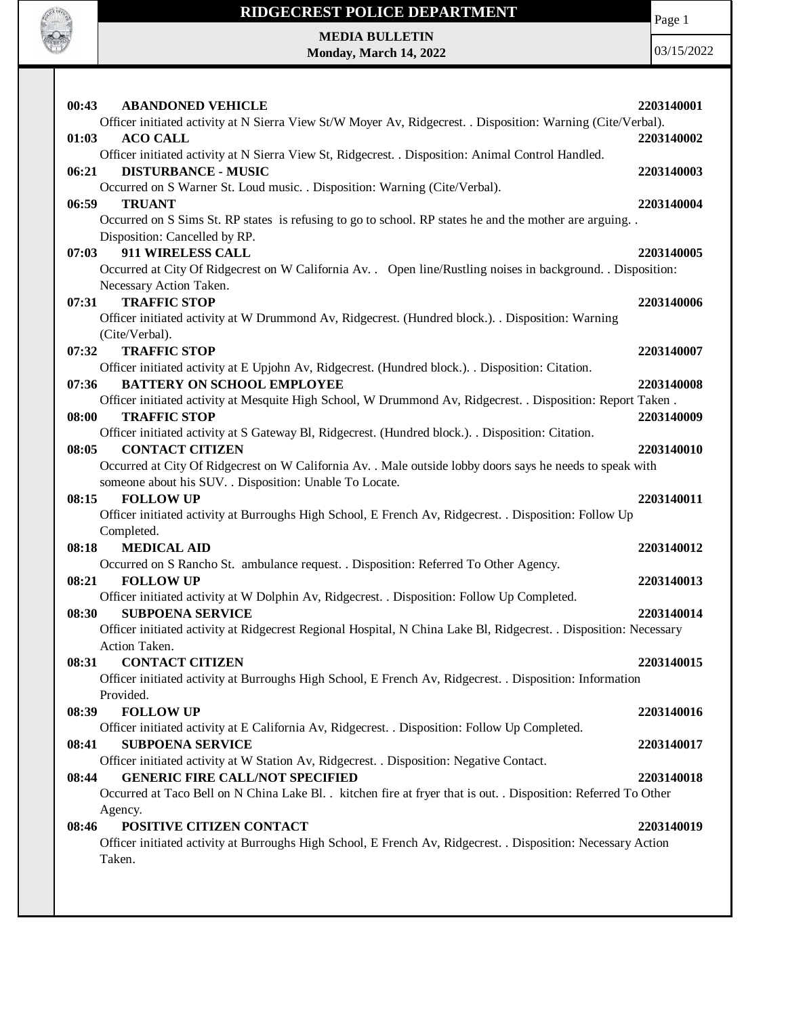

Page 1

**MEDIA BULLETIN Monday, March 14, 2022**

| 00:43 | <b>ABANDONED VEHICLE</b>                                                                                          | 2203140001 |
|-------|-------------------------------------------------------------------------------------------------------------------|------------|
|       | Officer initiated activity at N Sierra View St/W Moyer Av, Ridgecrest. . Disposition: Warning (Cite/Verbal).      |            |
| 01:03 | <b>ACO CALL</b>                                                                                                   | 2203140002 |
|       | Officer initiated activity at N Sierra View St, Ridgecrest. . Disposition: Animal Control Handled.                |            |
| 06:21 | <b>DISTURBANCE - MUSIC</b>                                                                                        | 2203140003 |
|       | Occurred on S Warner St. Loud music. . Disposition: Warning (Cite/Verbal).                                        |            |
| 06:59 | <b>TRUANT</b>                                                                                                     | 2203140004 |
|       | Occurred on S Sims St. RP states is refusing to go to school. RP states he and the mother are arguing             |            |
|       | Disposition: Cancelled by RP.                                                                                     |            |
| 07:03 | 911 WIRELESS CALL                                                                                                 | 2203140005 |
|       | Occurred at City Of Ridgecrest on W California Av. . Open line/Rustling noises in background. . Disposition:      |            |
|       | Necessary Action Taken.                                                                                           |            |
| 07:31 | <b>TRAFFIC STOP</b>                                                                                               | 2203140006 |
|       | Officer initiated activity at W Drummond Av, Ridgecrest. (Hundred block.). . Disposition: Warning                 |            |
|       | (Cite/Verbal).                                                                                                    |            |
| 07:32 | <b>TRAFFIC STOP</b>                                                                                               | 2203140007 |
|       | Officer initiated activity at E Upjohn Av, Ridgecrest. (Hundred block.). . Disposition: Citation.                 |            |
| 07:36 | <b>BATTERY ON SCHOOL EMPLOYEE</b>                                                                                 | 2203140008 |
|       | Officer initiated activity at Mesquite High School, W Drummond Av, Ridgecrest. . Disposition: Report Taken.       |            |
| 08:00 | <b>TRAFFIC STOP</b>                                                                                               | 2203140009 |
|       | Officer initiated activity at S Gateway Bl, Ridgecrest. (Hundred block.). . Disposition: Citation.                |            |
| 08:05 | <b>CONTACT CITIZEN</b>                                                                                            | 2203140010 |
|       | Occurred at City Of Ridgecrest on W California Av. . Male outside lobby doors says he needs to speak with         |            |
|       | someone about his SUV. . Disposition: Unable To Locate.                                                           |            |
| 08:15 | <b>FOLLOW UP</b>                                                                                                  | 2203140011 |
|       | Officer initiated activity at Burroughs High School, E French Av, Ridgecrest. . Disposition: Follow Up            |            |
|       | Completed.                                                                                                        |            |
| 08:18 | <b>MEDICAL AID</b>                                                                                                | 2203140012 |
| 08:21 | Occurred on S Rancho St. ambulance request. . Disposition: Referred To Other Agency.<br><b>FOLLOW UP</b>          |            |
|       | Officer initiated activity at W Dolphin Av, Ridgecrest. . Disposition: Follow Up Completed.                       | 2203140013 |
| 08:30 | <b>SUBPOENA SERVICE</b>                                                                                           | 2203140014 |
|       | Officer initiated activity at Ridgecrest Regional Hospital, N China Lake Bl, Ridgecrest. . Disposition: Necessary |            |
|       | Action Taken.                                                                                                     |            |
| 08:31 | <b>CONTACT CITIZEN</b>                                                                                            | 2203140015 |
|       | Officer initiated activity at Burroughs High School, E French Av, Ridgecrest. . Disposition: Information          |            |
|       | Provided.                                                                                                         |            |
| 08:39 | <b>FOLLOW UP</b>                                                                                                  | 2203140016 |
|       | Officer initiated activity at E California Av, Ridgecrest. . Disposition: Follow Up Completed.                    |            |
| 08:41 | <b>SUBPOENA SERVICE</b>                                                                                           | 2203140017 |
|       | Officer initiated activity at W Station Av, Ridgecrest. . Disposition: Negative Contact.                          |            |
| 08:44 | <b>GENERIC FIRE CALL/NOT SPECIFIED</b>                                                                            | 2203140018 |
|       | Occurred at Taco Bell on N China Lake Bl. . kitchen fire at fryer that is out. . Disposition: Referred To Other   |            |
|       | Agency.                                                                                                           |            |
| 08:46 | POSITIVE CITIZEN CONTACT                                                                                          | 2203140019 |
|       | Officer initiated activity at Burroughs High School, E French Av, Ridgecrest. . Disposition: Necessary Action     |            |
|       | Taken.                                                                                                            |            |
|       |                                                                                                                   |            |
|       |                                                                                                                   |            |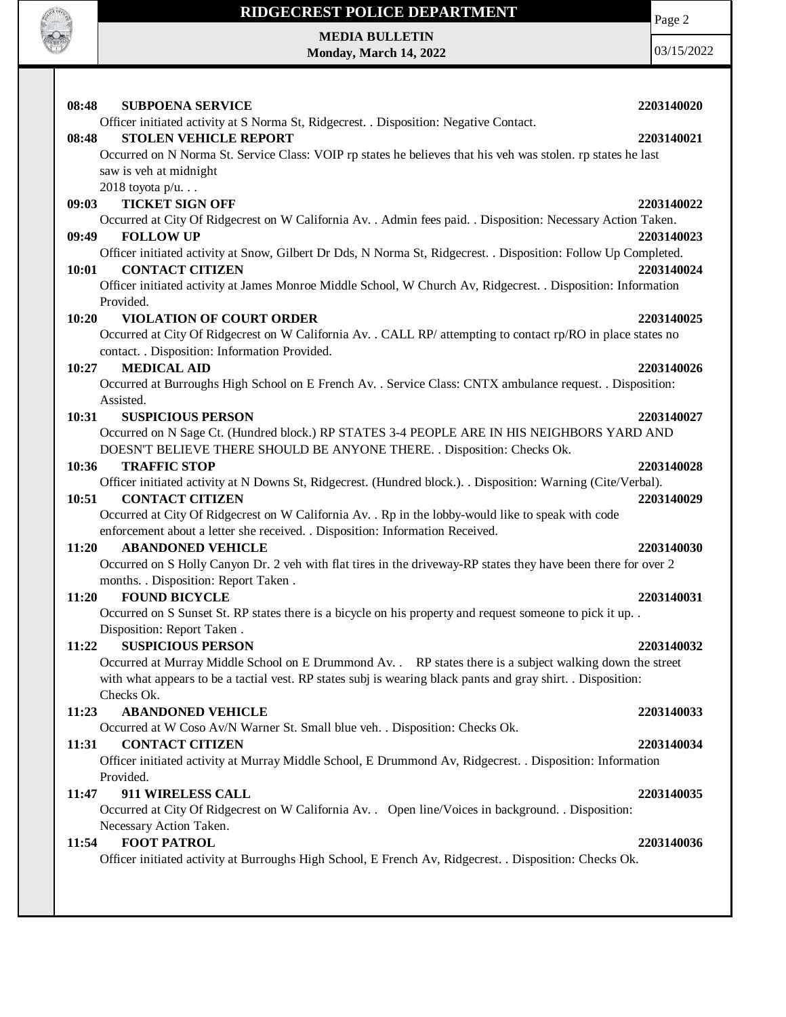

**MEDIA BULLETIN Monday, March 14, 2022** Page 2 03/15/2022

**08:48 SUBPOENA SERVICE 2203140020** Officer initiated activity at S Norma St, Ridgecrest. . Disposition: Negative Contact. **08:48 STOLEN VEHICLE REPORT 2203140021** Occurred on N Norma St. Service Class: VOIP rp states he believes that his veh was stolen. rp states he last saw is veh at midnight 2018 toyota p/u. . . **09:03 TICKET SIGN OFF 2203140022** Occurred at City Of Ridgecrest on W California Av. . Admin fees paid. . Disposition: Necessary Action Taken. **09:49 FOLLOW UP 2203140023** Officer initiated activity at Snow, Gilbert Dr Dds, N Norma St, Ridgecrest. . Disposition: Follow Up Completed. **10:01 CONTACT CITIZEN 2203140024** Officer initiated activity at James Monroe Middle School, W Church Av, Ridgecrest. . Disposition: Information Provided. **10:20 VIOLATION OF COURT ORDER 2203140025** Occurred at City Of Ridgecrest on W California Av. . CALL RP/ attempting to contact rp/RO in place states no contact. . Disposition: Information Provided. **10:27 MEDICAL AID 2203140026** Occurred at Burroughs High School on E French Av. . Service Class: CNTX ambulance request. . Disposition: Assisted. **10:31 SUSPICIOUS PERSON 2203140027** Occurred on N Sage Ct. (Hundred block.) RP STATES 3-4 PEOPLE ARE IN HIS NEIGHBORS YARD AND DOESN'T BELIEVE THERE SHOULD BE ANYONE THERE. . Disposition: Checks Ok. **10:36 TRAFFIC STOP 2203140028** Officer initiated activity at N Downs St, Ridgecrest. (Hundred block.). . Disposition: Warning (Cite/Verbal). **10:51 CONTACT CITIZEN 2203140029** Occurred at City Of Ridgecrest on W California Av. . Rp in the lobby-would like to speak with code enforcement about a letter she received. . Disposition: Information Received. **11:20 ABANDONED VEHICLE 2203140030** Occurred on S Holly Canyon Dr. 2 veh with flat tires in the driveway-RP states they have been there for over 2 months. . Disposition: Report Taken . **11:20 FOUND BICYCLE 2203140031** Occurred on S Sunset St. RP states there is a bicycle on his property and request someone to pick it up. . Disposition: Report Taken . **11:22 SUSPICIOUS PERSON 2203140032** Occurred at Murray Middle School on E Drummond Av. . RP states there is a subject walking down the street with what appears to be a tactial vest. RP states subj is wearing black pants and gray shirt. . Disposition: Checks Ok. **11:23 ABANDONED VEHICLE 2203140033** Occurred at W Coso Av/N Warner St. Small blue veh. . Disposition: Checks Ok. **11:31 CONTACT CITIZEN 2203140034** Officer initiated activity at Murray Middle School, E Drummond Av, Ridgecrest. . Disposition: Information Provided. **11:47 911 WIRELESS CALL 2203140035** Occurred at City Of Ridgecrest on W California Av. . Open line/Voices in background. . Disposition: Necessary Action Taken. **11:54 FOOT PATROL 2203140036** Officer initiated activity at Burroughs High School, E French Av, Ridgecrest. . Disposition: Checks Ok.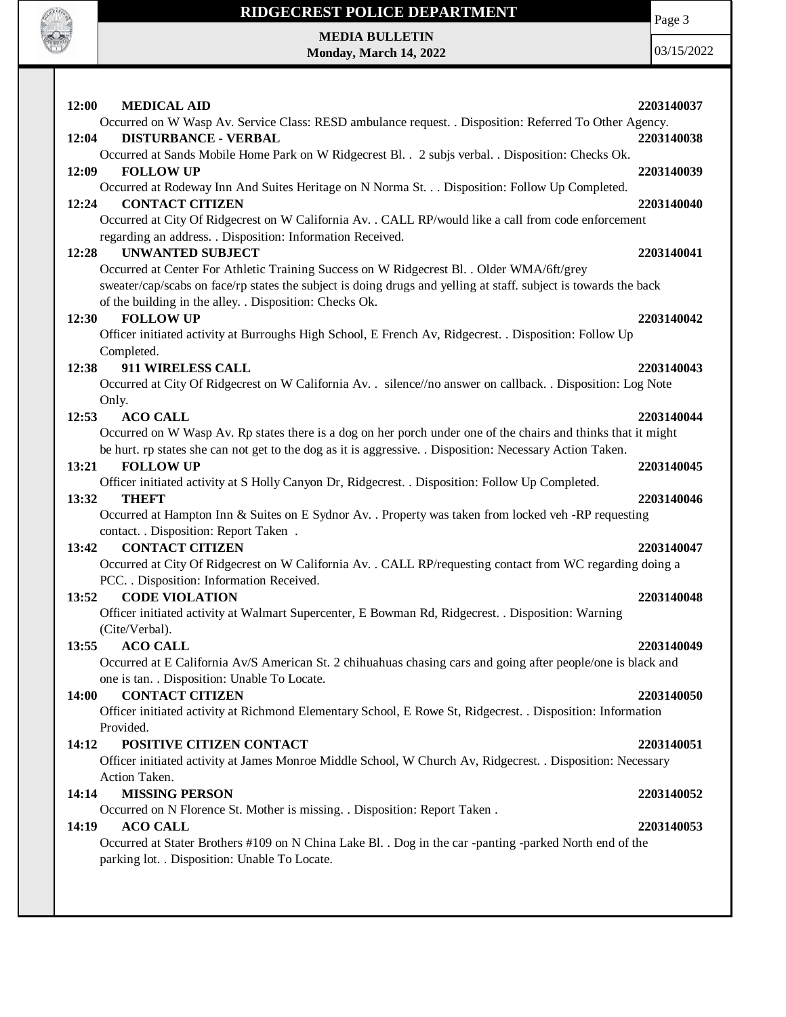

Page 3

**MEDIA BULLETIN Monday, March 14, 2022**

| 12:00<br><b>MEDICAL AID</b><br>Occurred on W Wasp Av. Service Class: RESD ambulance request. . Disposition: Referred To Other Agency.                                                                                                                  | 2203140037               |
|--------------------------------------------------------------------------------------------------------------------------------------------------------------------------------------------------------------------------------------------------------|--------------------------|
| <b>DISTURBANCE - VERBAL</b><br>12:04<br>Occurred at Sands Mobile Home Park on W Ridgecrest Bl. . 2 subjs verbal. . Disposition: Checks Ok.                                                                                                             | 2203140038               |
| 12:09<br><b>FOLLOW UP</b>                                                                                                                                                                                                                              | 2203140039               |
| Occurred at Rodeway Inn And Suites Heritage on N Norma St. Disposition: Follow Up Completed.<br><b>CONTACT CITIZEN</b><br>12:24<br>Occurred at City Of Ridgecrest on W California Av. . CALL RP/would like a call from code enforcement                | 2203140040               |
| regarding an address. . Disposition: Information Received.<br><b>UNWANTED SUBJECT</b><br>12:28<br>Occurred at Center For Athletic Training Success on W Ridgecrest Bl. . Older WMA/6ft/grey                                                            | 2203140041               |
| sweater/cap/scabs on face/rp states the subject is doing drugs and yelling at staff. subject is towards the back<br>of the building in the alley. . Disposition: Checks Ok.<br><b>FOLLOW UP</b><br>12:30                                               | 2203140042               |
| Officer initiated activity at Burroughs High School, E French Av, Ridgecrest. . Disposition: Follow Up<br>Completed.                                                                                                                                   |                          |
| 911 WIRELESS CALL<br>12:38<br>Occurred at City Of Ridgecrest on W California Av. . silence//no answer on callback. . Disposition: Log Note<br>Only.                                                                                                    | 2203140043               |
| <b>ACO CALL</b><br>12:53<br>Occurred on W Wasp Av. Rp states there is a dog on her porch under one of the chairs and thinks that it might<br>be hurt. rp states she can not get to the dog as it is aggressive. . Disposition: Necessary Action Taken. | 2203140044               |
| <b>FOLLOW UP</b><br>13:21<br>Officer initiated activity at S Holly Canyon Dr, Ridgecrest. . Disposition: Follow Up Completed.                                                                                                                          | 2203140045               |
| 13:32<br><b>THEFT</b><br>Occurred at Hampton Inn & Suites on E Sydnor Av. . Property was taken from locked veh -RP requesting<br>contact. . Disposition: Report Taken .                                                                                | 2203140046               |
| <b>CONTACT CITIZEN</b><br>13:42<br>Occurred at City Of Ridgecrest on W California Av. . CALL RP/requesting contact from WC regarding doing a<br>PCC. . Disposition: Information Received.                                                              | 2203140047               |
| <b>CODE VIOLATION</b><br>13:52<br>Officer initiated activity at Walmart Supercenter, E Bowman Rd, Ridgecrest. . Disposition: Warning<br>(Cite/Verbal).                                                                                                 | 2203140048               |
| 13:55<br><b>ACO CALL</b><br>Occurred at E California Av/S American St. 2 chihuahuas chasing cars and going after people/one is black and<br>one is tan. . Disposition: Unable To Locate.                                                               | 2203140049               |
| <b>CONTACT CITIZEN</b><br>14:00<br>Officer initiated activity at Richmond Elementary School, E Rowe St, Ridgecrest. . Disposition: Information<br>Provided.                                                                                            | 2203140050               |
| POSITIVE CITIZEN CONTACT<br>14:12<br>Officer initiated activity at James Monroe Middle School, W Church Av, Ridgecrest. . Disposition: Necessary<br>Action Taken.                                                                                      | 2203140051               |
| <b>MISSING PERSON</b><br>14:14<br>Occurred on N Florence St. Mother is missing. . Disposition: Report Taken.<br><b>ACO CALL</b><br>14:19                                                                                                               | 2203140052<br>2203140053 |
| Occurred at Stater Brothers #109 on N China Lake Bl. . Dog in the car -panting -parked North end of the<br>parking lot. . Disposition: Unable To Locate.                                                                                               |                          |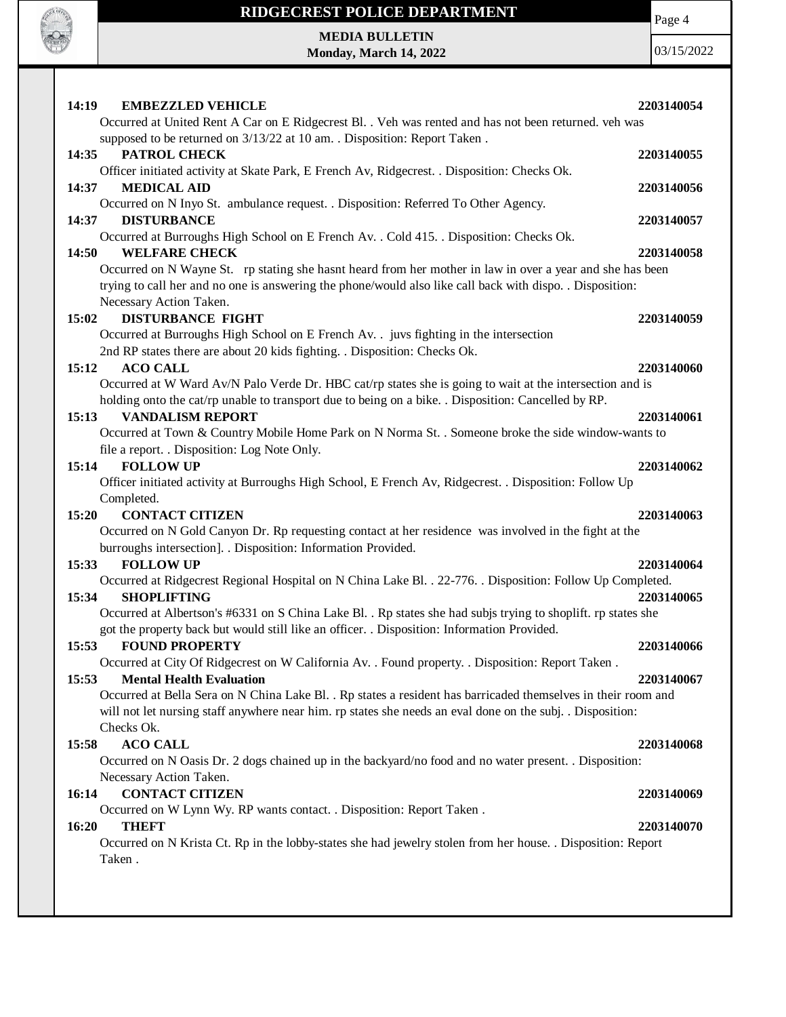

# **RIDGECREST POLICE DEPARTMENT MEDIA BULLETIN**

**Monday, March 14, 2022**

Page 4

| <b>EMBEZZLED VEHICLE</b><br>14:19                                                                                        | 2203140054 |
|--------------------------------------------------------------------------------------------------------------------------|------------|
| Occurred at United Rent A Car on E Ridgecrest Bl. . Veh was rented and has not been returned. veh was                    |            |
| supposed to be returned on 3/13/22 at 10 am. . Disposition: Report Taken.                                                |            |
| 14:35<br>PATROL CHECK                                                                                                    | 2203140055 |
| Officer initiated activity at Skate Park, E French Av, Ridgecrest. . Disposition: Checks Ok.                             |            |
| 14:37<br><b>MEDICAL AID</b>                                                                                              | 2203140056 |
| Occurred on N Inyo St. ambulance request. . Disposition: Referred To Other Agency.                                       |            |
| <b>DISTURBANCE</b><br>14:37                                                                                              | 2203140057 |
| Occurred at Burroughs High School on E French Av. . Cold 415. . Disposition: Checks Ok.                                  |            |
| <b>WELFARE CHECK</b><br>14:50                                                                                            | 2203140058 |
| Occurred on N Wayne St. rp stating she hasnt heard from her mother in law in over a year and she has been                |            |
| trying to call her and no one is answering the phone/would also like call back with dispo. . Disposition:                |            |
| Necessary Action Taken.                                                                                                  |            |
| 15:02<br><b>DISTURBANCE FIGHT</b>                                                                                        | 2203140059 |
| Occurred at Burroughs High School on E French Av. . juvs fighting in the intersection                                    |            |
| 2nd RP states there are about 20 kids fighting. . Disposition: Checks Ok.                                                |            |
| <b>ACO CALL</b><br>15:12                                                                                                 | 2203140060 |
| Occurred at W Ward Av/N Palo Verde Dr. HBC cat/rp states she is going to wait at the intersection and is                 |            |
| holding onto the cat/rp unable to transport due to being on a bike. . Disposition: Cancelled by RP.                      |            |
| <b>VANDALISM REPORT</b><br>15:13                                                                                         | 2203140061 |
| Occurred at Town & Country Mobile Home Park on N Norma St. . Someone broke the side window-wants to                      |            |
| file a report. . Disposition: Log Note Only.                                                                             |            |
| <b>FOLLOW UP</b><br>15:14                                                                                                | 2203140062 |
| Officer initiated activity at Burroughs High School, E French Av, Ridgecrest. . Disposition: Follow Up                   |            |
| Completed.                                                                                                               |            |
| 15:20<br><b>CONTACT CITIZEN</b>                                                                                          | 2203140063 |
| Occurred on N Gold Canyon Dr. Rp requesting contact at her residence was involved in the fight at the                    |            |
| burroughs intersection]. . Disposition: Information Provided.                                                            |            |
| <b>FOLLOW UP</b><br>15:33                                                                                                | 2203140064 |
| Occurred at Ridgecrest Regional Hospital on N China Lake Bl. . 22-776. . Disposition: Follow Up Completed.               |            |
| <b>SHOPLIFTING</b><br>15:34                                                                                              | 2203140065 |
| Occurred at Albertson's #6331 on S China Lake Bl. . Rp states she had subjs trying to shoplift. rp states she            |            |
| got the property back but would still like an officer. . Disposition: Information Provided.                              |            |
| 15:53<br><b>FOUND PROPERTY</b>                                                                                           | 2203140066 |
| Occurred at City Of Ridgecrest on W California Av. . Found property. . Disposition: Report Taken.                        |            |
| <b>Mental Health Evaluation</b><br>15:53                                                                                 | 2203140067 |
| Occurred at Bella Sera on N China Lake Bl. . Rp states a resident has barricaded themselves in their room and            |            |
| will not let nursing staff anywhere near him. rp states she needs an eval done on the subj. . Disposition:<br>Checks Ok. |            |
| <b>ACO CALL</b><br>15:58                                                                                                 | 2203140068 |
| Occurred on N Oasis Dr. 2 dogs chained up in the backyard/no food and no water present. . Disposition:                   |            |
|                                                                                                                          |            |
| Necessary Action Taken.                                                                                                  |            |
| <b>CONTACT CITIZEN</b><br>16:14<br>Occurred on W Lynn Wy. RP wants contact. . Disposition: Report Taken.                 | 2203140069 |
|                                                                                                                          |            |
|                                                                                                                          |            |
| 16:20<br><b>THEFT</b>                                                                                                    | 2203140070 |
| Occurred on N Krista Ct. Rp in the lobby-states she had jewelry stolen from her house. . Disposition: Report<br>Taken.   |            |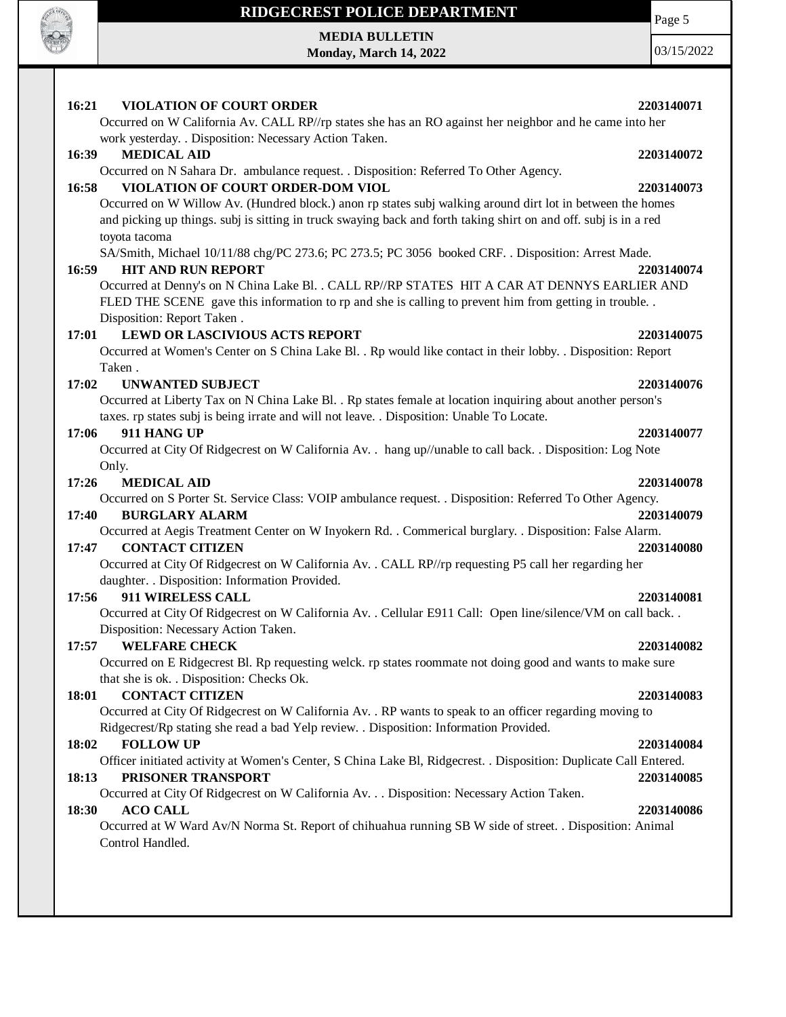

**MEDIA BULLETIN Monday, March 14, 2022** Page 5 03/15/2022

| 16:21<br><b>VIOLATION OF COURT ORDER</b><br>Occurred on W California Av. CALL RP//rp states she has an RO against her neighbor and he came into her                                                                                             | 2203140071 |
|-------------------------------------------------------------------------------------------------------------------------------------------------------------------------------------------------------------------------------------------------|------------|
| work yesterday. . Disposition: Necessary Action Taken.                                                                                                                                                                                          |            |
| <b>MEDICAL AID</b><br>16:39                                                                                                                                                                                                                     | 2203140072 |
| Occurred on N Sahara Dr. ambulance request. . Disposition: Referred To Other Agency.                                                                                                                                                            |            |
| VIOLATION OF COURT ORDER-DOM VIOL<br>16:58                                                                                                                                                                                                      | 2203140073 |
| Occurred on W Willow Av. (Hundred block.) anon rp states subj walking around dirt lot in between the homes<br>and picking up things. subj is sitting in truck swaying back and forth taking shirt on and off. subj is in a red<br>toyota tacoma |            |
| SA/Smith, Michael 10/11/88 chg/PC 273.6; PC 273.5; PC 3056 booked CRF. . Disposition: Arrest Made.                                                                                                                                              |            |
| <b>HIT AND RUN REPORT</b><br>16:59                                                                                                                                                                                                              | 2203140074 |
| Occurred at Denny's on N China Lake Bl. . CALL RP//RP STATES HIT A CAR AT DENNYS EARLIER AND                                                                                                                                                    |            |
| FLED THE SCENE gave this information to rp and she is calling to prevent him from getting in trouble.                                                                                                                                           |            |
| Disposition: Report Taken.                                                                                                                                                                                                                      |            |
| <b>LEWD OR LASCIVIOUS ACTS REPORT</b><br>17:01                                                                                                                                                                                                  | 2203140075 |
| Occurred at Women's Center on S China Lake Bl. . Rp would like contact in their lobby. . Disposition: Report<br>Taken.                                                                                                                          |            |
| 17:02<br><b>UNWANTED SUBJECT</b>                                                                                                                                                                                                                | 2203140076 |
| Occurred at Liberty Tax on N China Lake Bl. . Rp states female at location inquiring about another person's                                                                                                                                     |            |
| taxes. rp states subj is being irrate and will not leave. . Disposition: Unable To Locate.                                                                                                                                                      |            |
| 911 HANG UP<br>17:06                                                                                                                                                                                                                            | 2203140077 |
| Occurred at City Of Ridgecrest on W California Av. . hang up//unable to call back. . Disposition: Log Note                                                                                                                                      |            |
| Only.                                                                                                                                                                                                                                           |            |
| 17:26<br><b>MEDICAL AID</b><br>Occurred on S Porter St. Service Class: VOIP ambulance request. . Disposition: Referred To Other Agency.                                                                                                         | 2203140078 |
| 17:40<br><b>BURGLARY ALARM</b>                                                                                                                                                                                                                  | 2203140079 |
| Occurred at Aegis Treatment Center on W Inyokern Rd. . Commerical burglary. . Disposition: False Alarm.                                                                                                                                         |            |
| 17:47<br><b>CONTACT CITIZEN</b>                                                                                                                                                                                                                 | 2203140080 |
| Occurred at City Of Ridgecrest on W California Av. . CALL RP//rp requesting P5 call her regarding her                                                                                                                                           |            |
| daughter. . Disposition: Information Provided.                                                                                                                                                                                                  |            |
| 911 WIRELESS CALL<br>17:56                                                                                                                                                                                                                      | 2203140081 |
| Occurred at City Of Ridgecrest on W California Av. . Cellular E911 Call: Open line/silence/VM on call back. .                                                                                                                                   |            |
| Disposition: Necessary Action Taken.                                                                                                                                                                                                            |            |
| <b>WELFARE CHECK</b><br>17:57                                                                                                                                                                                                                   | 2203140082 |
| Occurred on E Ridgecrest Bl. Rp requesting welck. rp states roommate not doing good and wants to make sure                                                                                                                                      |            |
| that she is ok. . Disposition: Checks Ok.                                                                                                                                                                                                       |            |
| <b>CONTACT CITIZEN</b><br>18:01                                                                                                                                                                                                                 | 2203140083 |
| Occurred at City Of Ridgecrest on W California Av. . RP wants to speak to an officer regarding moving to<br>Ridgecrest/Rp stating she read a bad Yelp review. . Disposition: Information Provided.                                              |            |
| <b>FOLLOW UP</b><br>18:02                                                                                                                                                                                                                       | 2203140084 |
| Officer initiated activity at Women's Center, S China Lake Bl, Ridgecrest. . Disposition: Duplicate Call Entered.                                                                                                                               |            |
| PRISONER TRANSPORT<br>18:13                                                                                                                                                                                                                     | 2203140085 |
| Occurred at City Of Ridgecrest on W California Av. Disposition: Necessary Action Taken.                                                                                                                                                         |            |
| <b>ACO CALL</b><br>18:30                                                                                                                                                                                                                        | 2203140086 |
| Occurred at W Ward Av/N Norma St. Report of chihuahua running SB W side of street. . Disposition: Animal<br>Control Handled.                                                                                                                    |            |
|                                                                                                                                                                                                                                                 |            |